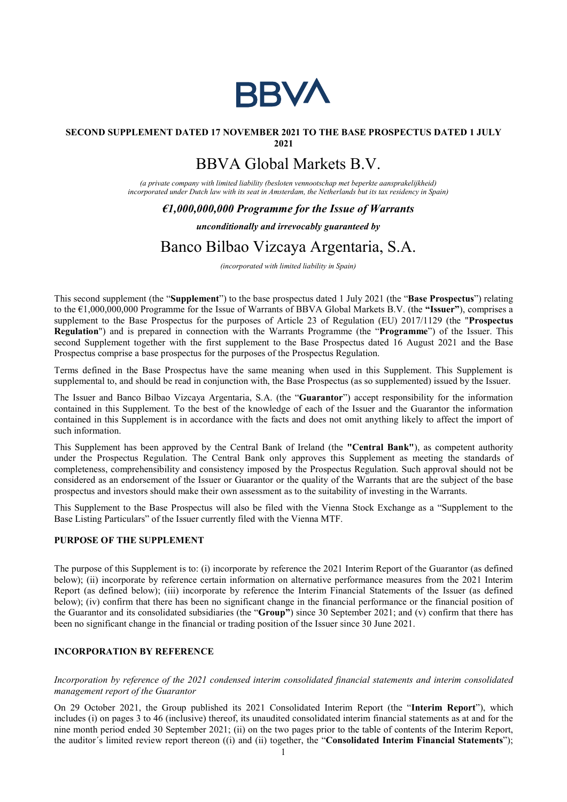

## SECOND SUPPLEMENT DATED 17 NOVEMBER 2021 TO THE BASE PROSPECTUS DATED 1 JULY

2021

# BBVA Global Markets B.V.

(a private company with limited liability (besloten vennootschap met beperkte aansprakelijkheid) incorporated under Dutch law with its seat in Amsterdam, the Netherlands but its tax residency in Spain)

### $\epsilon$ 1,000,000,000 Programme for the Issue of Warrants

### unconditionally and irrevocably guaranteed by

## Banco Bilbao Vizcaya Argentaria, S.A.

(incorporated with limited liability in Spain)

This second supplement (the "Supplement") to the base prospectus dated 1 July 2021 (the "Base Prospectus") relating to the €1,000,000,000 Programme for the Issue of Warrants of BBVA Global Markets B.V. (the "Issuer"), comprises a supplement to the Base Prospectus for the purposes of Article 23 of Regulation (EU) 2017/1129 (the "Prospectus Regulation") and is prepared in connection with the Warrants Programme (the "Programme") of the Issuer. This second Supplement together with the first supplement to the Base Prospectus dated 16 August 2021 and the Base Prospectus comprise a base prospectus for the purposes of the Prospectus Regulation.

Terms defined in the Base Prospectus have the same meaning when used in this Supplement. This Supplement is supplemental to, and should be read in conjunction with, the Base Prospectus (as so supplemented) issued by the Issuer.

The Issuer and Banco Bilbao Vizcaya Argentaria, S.A. (the "Guarantor") accept responsibility for the information contained in this Supplement. To the best of the knowledge of each of the Issuer and the Guarantor the information contained in this Supplement is in accordance with the facts and does not omit anything likely to affect the import of such information.

This Supplement has been approved by the Central Bank of Ireland (the "Central Bank"), as competent authority under the Prospectus Regulation. The Central Bank only approves this Supplement as meeting the standards of completeness, comprehensibility and consistency imposed by the Prospectus Regulation. Such approval should not be considered as an endorsement of the Issuer or Guarantor or the quality of the Warrants that are the subject of the base prospectus and investors should make their own assessment as to the suitability of investing in the Warrants.

This Supplement to the Base Prospectus will also be filed with the Vienna Stock Exchange as a "Supplement to the Base Listing Particulars" of the Issuer currently filed with the Vienna MTF.

### PURPOSE OF THE SUPPLEMENT

The purpose of this Supplement is to: (i) incorporate by reference the 2021 Interim Report of the Guarantor (as defined below); (ii) incorporate by reference certain information on alternative performance measures from the 2021 Interim Report (as defined below); (iii) incorporate by reference the Interim Financial Statements of the Issuer (as defined below); (iv) confirm that there has been no significant change in the financial performance or the financial position of the Guarantor and its consolidated subsidiaries (the "Group") since 30 September 2021; and (v) confirm that there has been no significant change in the financial or trading position of the Issuer since 30 June 2021.

### INCORPORATION BY REFERENCE

Incorporation by reference of the 2021 condensed interim consolidated financial statements and interim consolidated management report of the Guarantor

On 29 October 2021, the Group published its 2021 Consolidated Interim Report (the "Interim Report"), which includes (i) on pages 3 to 46 (inclusive) thereof, its unaudited consolidated interim financial statements as at and for the nine month period ended 30 September 2021; (ii) on the two pages prior to the table of contents of the Interim Report, the auditor's limited review report thereon ((i) and (ii) together, the "Consolidated Interim Financial Statements");